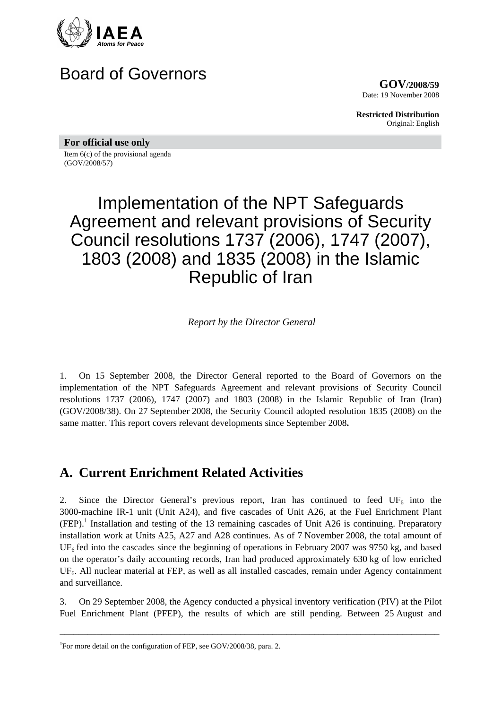

## Board of Governors

**GOV/2008/59** Date: 19 November 2008

**Restricted Distribution** Original: English

**For official use only** 

Item 6(c) of the provisional agenda (GOV/2008/57)

# Implementation of the NPT Safeguards Agreement and relevant provisions of Security Council resolutions 1737 (2006), 1747 (2007), 1803 (2008) and 1835 (2008) in the Islamic Republic of Iran

*Report by the Director General* 

1. On 15 September 2008, the Director General reported to the Board of Governors on the implementation of the NPT Safeguards Agreement and relevant provisions of Security Council resolutions 1737 (2006), 1747 (2007) and 1803 (2008) in the Islamic Republic of Iran (Iran) (GOV/2008/38). On 27 September 2008, the Security Council adopted resolution 1835 (2008) on the same matter. This report covers relevant developments since September 2008**.**

### **A. Current Enrichment Related Activities**

2. Since the Director General's previous report, Iran has continued to feed  $UF_6$  into the 3000-machine IR-1 unit (Unit A24), and five cascades of Unit A26, at the Fuel Enrichment Plant  $(FEP)$ .<sup>1</sup> Installation and testing of the 13 remaining cascades of Unit A26 is continuing. Preparatory installation work at Units A25, A27 and A28 continues. As of 7 November 2008, the total amount of  $UF<sub>6</sub>$  fed into the cascades since the beginning of operations in February 2007 was 9750 kg, and based on the operator's daily accounting records, Iran had produced approximately 630 kg of low enriched UF<sub>6</sub>. All nuclear material at FEP, as well as all installed cascades, remain under Agency containment and surveillance.

3. On 29 September 2008, the Agency conducted a physical inventory verification (PIV) at the Pilot Fuel Enrichment Plant (PFEP), the results of which are still pending. Between 25 August and

\_\_\_\_\_\_\_\_\_\_\_\_\_\_\_\_\_\_\_\_\_\_\_\_\_\_\_\_\_\_\_\_\_\_\_\_\_\_\_\_\_\_\_\_\_\_\_\_\_\_\_\_\_\_\_\_\_\_\_\_\_\_\_\_\_\_\_\_\_\_\_\_\_\_\_\_\_\_\_\_\_\_

<sup>&</sup>lt;sup>1</sup>For more detail on the configuration of FEP, see GOV/2008/38, para. 2.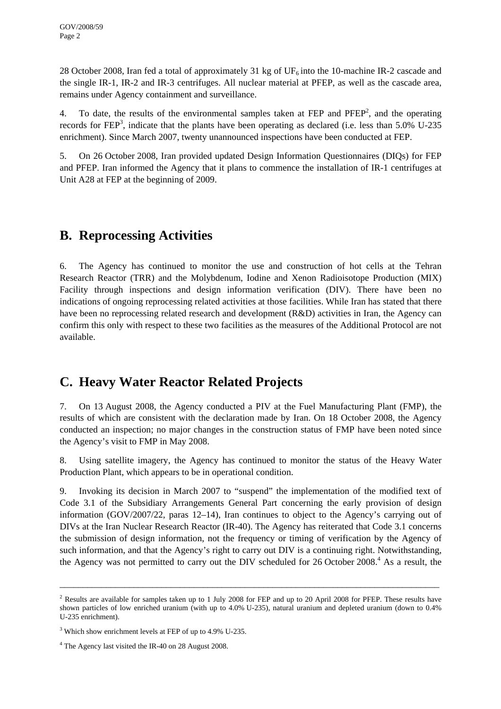28 October 2008, Iran fed a total of approximately 31 kg of UF<sub>6</sub> into the 10-machine IR-2 cascade and the single IR-1, IR-2 and IR-3 centrifuges. All nuclear material at PFEP, as well as the cascade area, remains under Agency containment and surveillance.

4. To date, the results of the environmental samples taken at FEP and PFEP<sup>2</sup>, and the operating records for  $FEP<sup>3</sup>$ , indicate that the plants have been operating as declared (i.e. less than 5.0% U-235 enrichment). Since March 2007, twenty unannounced inspections have been conducted at FEP.

5. On 26 October 2008, Iran provided updated Design Information Questionnaires (DIQs) for FEP and PFEP. Iran informed the Agency that it plans to commence the installation of IR-1 centrifuges at Unit A28 at FEP at the beginning of 2009.

### **B. Reprocessing Activities**

6. The Agency has continued to monitor the use and construction of hot cells at the Tehran Research Reactor (TRR) and the Molybdenum, Iodine and Xenon Radioisotope Production (MIX) Facility through inspections and design information verification (DIV). There have been no indications of ongoing reprocessing related activities at those facilities. While Iran has stated that there have been no reprocessing related research and development (R&D) activities in Iran, the Agency can confirm this only with respect to these two facilities as the measures of the Additional Protocol are not available.

### **C. Heavy Water Reactor Related Projects**

7. On 13 August 2008, the Agency conducted a PIV at the Fuel Manufacturing Plant (FMP), the results of which are consistent with the declaration made by Iran. On 18 October 2008, the Agency conducted an inspection; no major changes in the construction status of FMP have been noted since the Agency's visit to FMP in May 2008.

8. Using satellite imagery, the Agency has continued to monitor the status of the Heavy Water Production Plant, which appears to be in operational condition.

9. Invoking its decision in March 2007 to "suspend" the implementation of the modified text of Code 3.1 of the Subsidiary Arrangements General Part concerning the early provision of design information (GOV/2007/22, paras 12–14), Iran continues to object to the Agency's carrying out of DIVs at the Iran Nuclear Research Reactor (IR-40). The Agency has reiterated that Code 3.1 concerns the submission of design information, not the frequency or timing of verification by the Agency of such information, and that the Agency's right to carry out DIV is a continuing right. Notwithstanding, the Agency was not permitted to carry out the DIV scheduled for  $26$  October  $2008<sup>4</sup>$ . As a result, the

\_\_\_\_\_\_\_\_\_\_\_\_\_\_\_\_\_\_\_\_\_\_\_\_\_\_\_\_\_\_\_\_\_\_\_\_\_\_\_\_\_\_\_\_\_\_\_\_\_\_\_\_\_\_\_\_\_\_\_\_\_\_\_\_\_\_\_\_\_\_\_\_\_\_\_\_\_\_\_\_\_\_

<sup>&</sup>lt;sup>2</sup> Results are available for samples taken up to 1 July 2008 for FEP and up to 20 April 2008 for PFEP. These results have shown particles of low enriched uranium (with up to 4.0% U-235), natural uranium and depleted uranium (down to 0.4% U-235 enrichment).

<sup>&</sup>lt;sup>3</sup> Which show enrichment levels at FEP of up to 4.9% U-235.

<sup>&</sup>lt;sup>4</sup> The Agency last visited the IR-40 on 28 August 2008.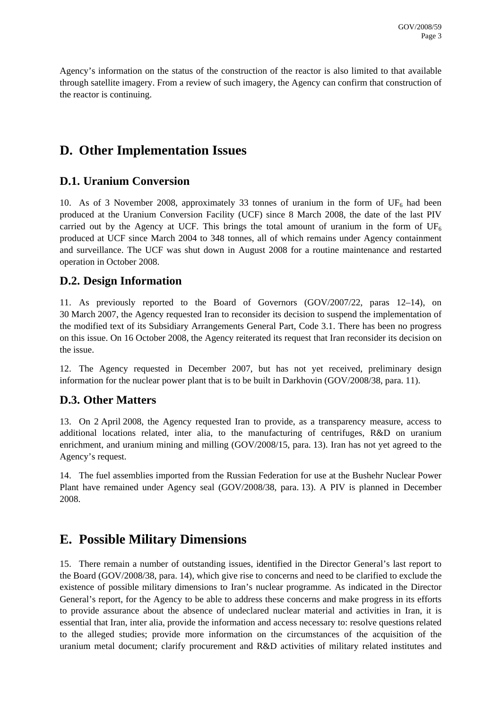Agency's information on the status of the construction of the reactor is also limited to that available through satellite imagery. From a review of such imagery, the Agency can confirm that construction of the reactor is continuing.

### **D. Other Implementation Issues**

#### **D.1. Uranium Conversion**

10. As of 3 November 2008, approximately 33 tonnes of uranium in the form of  $UF_6$  had been produced at the Uranium Conversion Facility (UCF) since 8 March 2008, the date of the last PIV carried out by the Agency at UCF. This brings the total amount of uranium in the form of  $UF_6$ produced at UCF since March 2004 to 348 tonnes, all of which remains under Agency containment and surveillance. The UCF was shut down in August 2008 for a routine maintenance and restarted operation in October 2008.

#### **D.2. Design Information**

11. As previously reported to the Board of Governors (GOV/2007/22, paras 12–14), on 30 March 2007, the Agency requested Iran to reconsider its decision to suspend the implementation of the modified text of its Subsidiary Arrangements General Part, Code 3.1. There has been no progress on this issue. On 16 October 2008, the Agency reiterated its request that Iran reconsider its decision on the issue.

12. The Agency requested in December 2007, but has not yet received, preliminary design information for the nuclear power plant that is to be built in Darkhovin (GOV/2008/38, para. 11).

#### **D.3. Other Matters**

13. On 2 April 2008, the Agency requested Iran to provide, as a transparency measure, access to additional locations related, inter alia, to the manufacturing of centrifuges, R&D on uranium enrichment, and uranium mining and milling (GOV/2008/15, para. 13). Iran has not yet agreed to the Agency's request.

14. The fuel assemblies imported from the Russian Federation for use at the Bushehr Nuclear Power Plant have remained under Agency seal (GOV/2008/38, para. 13). A PIV is planned in December 2008.

### **E. Possible Military Dimensions**

15. There remain a number of outstanding issues, identified in the Director General's last report to the Board (GOV/2008/38, para. 14), which give rise to concerns and need to be clarified to exclude the existence of possible military dimensions to Iran's nuclear programme. As indicated in the Director General's report, for the Agency to be able to address these concerns and make progress in its efforts to provide assurance about the absence of undeclared nuclear material and activities in Iran, it is essential that Iran, inter alia, provide the information and access necessary to: resolve questions related to the alleged studies; provide more information on the circumstances of the acquisition of the uranium metal document; clarify procurement and R&D activities of military related institutes and